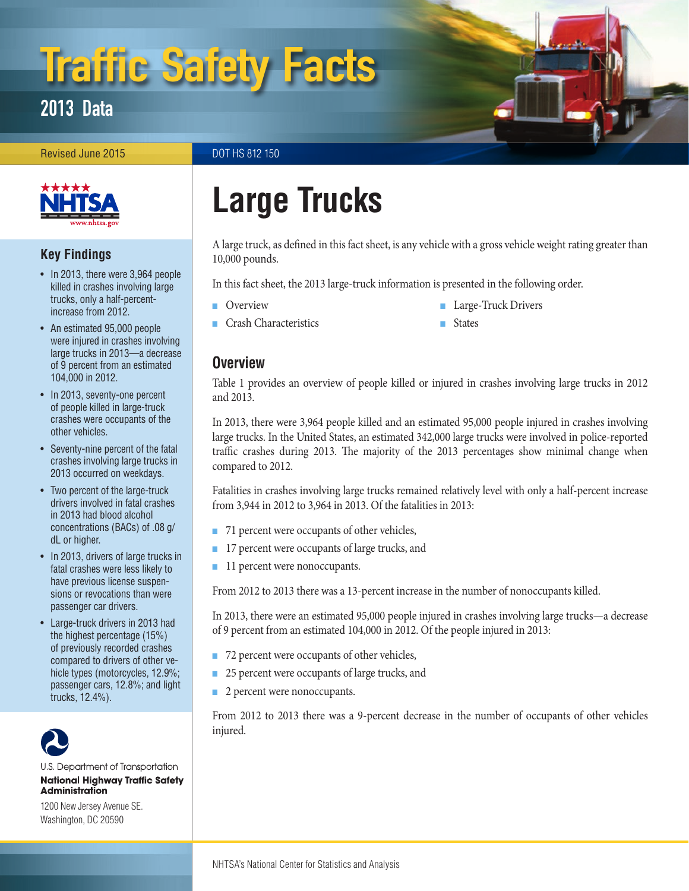# Traffic Safety Facts

2013 Data

Revised June 2015 **DOT HS 812 150** 



### **Key Findings**

- In 2013, there were 3,964 people killed in crashes involving large trucks, only a half-percentincrease from 2012.
- An estimated 95,000 people were injured in crashes involving large trucks in 2013—a decrease of 9 percent from an estimated 104,000 in 2012.
- In 2013, seventy-one percent of people killed in large-truck crashes were occupants of the other vehicles.
- Seventy-nine percent of the fatal crashes involving large trucks in 2013 occurred on weekdays.
- Two percent of the large-truck drivers involved in fatal crashes in 2013 had blood alcohol concentrations (BACs) of .08 g/ dL or higher.
- In 2013, drivers of large trucks in fatal crashes were less likely to have previous license suspensions or revocations than were passenger car drivers.
- Large-truck drivers in 2013 had the highest percentage (15%) of previously recorded crashes compared to drivers of other vehicle types (motorcycles, 12.9%; passenger cars, 12.8%; and light trucks, 12.4%).



U.S. Department of Transportation **National Highway Traffic Safety Administration** 

1200 New Jersey Avenue SE. Washington, DC 20590

## **Large Trucks**

A large truck, as defined in this fact sheet, is any vehicle with a gross vehicle weight rating greater than 10,000 pounds.

In this fact sheet, the 2013 large-truck information is presented in the following order.

- [Overview](#page-0-0)
- [Crash Characteristics](#page-2-0)
- [Large-Truck Drivers](#page-3-0)
- 
- 
- **[States](#page-4-0)**

### <span id="page-0-0"></span>**Overview**

Table 1 provides an overview of people killed or injured in crashes involving large trucks in 2012 and 2013.

In 2013, there were 3,964 people killed and an estimated 95,000 people injured in crashes involving large trucks. In the United States, an estimated 342,000 large trucks were involved in police-reported traffic crashes during 2013. The majority of the 2013 percentages show minimal change when compared to 2012.

Fatalities in crashes involving large trucks remained relatively level with only a half-percent increase from 3,944 in 2012 to 3,964 in 2013. Of the fatalities in 2013:

- 71 percent were occupants of other vehicles,
- 17 percent were occupants of large trucks, and
- 11 percent were nonoccupants.

From 2012 to 2013 there was a 13-percent increase in the number of nonoccupants killed.

In 2013, there were an estimated 95,000 people injured in crashes involving large trucks—a decrease of 9 percent from an estimated 104,000 in 2012. Of the people injured in 2013:

- 72 percent were occupants of other vehicles,
- 25 percent were occupants of large trucks, and
- 2 percent were nonoccupants.

From 2012 to 2013 there was a 9-percent decrease in the number of occupants of other vehicles injured.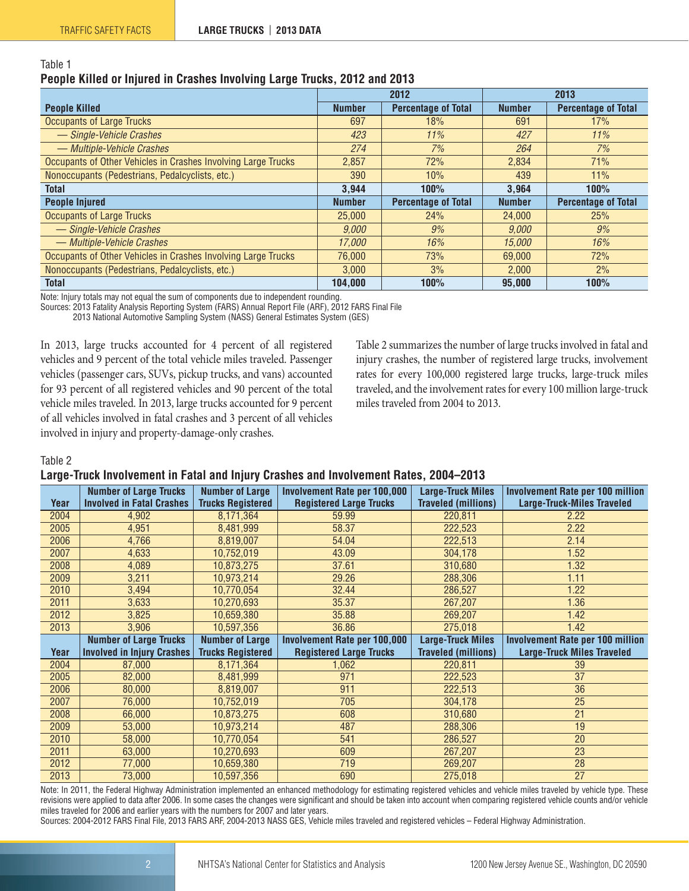|                                                                           | <b>ON40</b> |
|---------------------------------------------------------------------------|-------------|
| People Killed or Injured in Crashes Involving Large Trucks, 2012 and 2013 |             |
| Table 1                                                                   |             |

|                                                               |               | 2012                       | 2013          |                            |  |
|---------------------------------------------------------------|---------------|----------------------------|---------------|----------------------------|--|
| <b>People Killed</b>                                          | <b>Number</b> | <b>Percentage of Total</b> | <b>Number</b> | <b>Percentage of Total</b> |  |
| <b>Occupants of Large Trucks</b>                              | 697           | 18%                        | 691           | 17%                        |  |
| - Single-Vehicle Crashes                                      | 423           | 11%                        | 427           | 11%                        |  |
| - Multiple-Vehicle Crashes                                    | 274           | 7%                         | 264           | 7%                         |  |
| Occupants of Other Vehicles in Crashes Involving Large Trucks | 2,857         | 72%                        | 2.834         | 71%                        |  |
| Nonoccupants (Pedestrians, Pedalcyclists, etc.)               | 390           | 10%                        | 439           | 11%                        |  |
| <b>Total</b>                                                  | 3,944         | 100%                       | 3,964         | 100%                       |  |
| <b>People Injured</b>                                         | <b>Number</b> | <b>Percentage of Total</b> | <b>Number</b> | <b>Percentage of Total</b> |  |
| <b>Occupants of Large Trucks</b>                              | 25,000        | 24%                        | 24,000        | 25%                        |  |
| - Single-Vehicle Crashes                                      | 9.000         | 9%                         | 9.000         | 9%                         |  |
| - Multiple-Vehicle Crashes                                    | 17,000        | 16%                        | 15,000        | 16%                        |  |
| Occupants of Other Vehicles in Crashes Involving Large Trucks | 76,000        | 73%                        | 69,000        | 72%                        |  |
| Nonoccupants (Pedestrians, Pedalcyclists, etc.)               | 3,000         | 3%                         | 2,000         | 2%                         |  |
| <b>Total</b>                                                  | 104.000       | 100%                       | 95.000        | 100%                       |  |

Note: Injury totals may not equal the sum of components due to independent rounding.

Sources: 2013 Fatality Analysis Reporting System (FARS) Annual Report File (ARF), 2012 FARS Final File

2013 National Automotive Sampling System (NASS) General Estimates System (GES)

In 2013, large trucks accounted for 4 percent of all registered vehicles and 9 percent of the total vehicle miles traveled. Passenger vehicles (passenger cars, SUVs, pickup trucks, and vans) accounted for 93 percent of all registered vehicles and 90 percent of the total vehicle miles traveled. In 2013, large trucks accounted for 9 percent of all vehicles involved in fatal crashes and 3 percent of all vehicles involved in injury and property-damage-only crashes.

Table 2 summarizes the number of large trucks involved in fatal and injury crashes, the number of registered large trucks, involvement rates for every 100,000 registered large trucks, large-truck miles traveled, and the involvement rates for every 100 million large-truck miles traveled from 2004 to 2013.

Table 2

### **Large-Truck Involvement in Fatal and Injury Crashes and Involvement Rates, 2004–2013**

|      | <b>Number of Large Trucks</b>     | <b>Number of Large</b>   | <b>Involvement Rate per 100,000</b> | <b>Large-Truck Miles</b>   | <b>Involvement Rate per 100 million</b> |
|------|-----------------------------------|--------------------------|-------------------------------------|----------------------------|-----------------------------------------|
| Year | <b>Involved in Fatal Crashes</b>  | <b>Trucks Registered</b> | <b>Registered Large Trucks</b>      | <b>Traveled (millions)</b> | <b>Large-Truck-Miles Traveled</b>       |
| 2004 | 4,902                             | 8,171,364                | 59.99                               | 220,811                    | 2.22                                    |
| 2005 | 4,951                             | 8,481,999                | 58.37                               | 222,523                    | 2.22                                    |
| 2006 | 4,766                             | 8,819,007                | 54.04                               | 222,513                    | 2.14                                    |
| 2007 | 4,633                             | 10,752,019               | 43.09                               | 304,178                    | 1.52                                    |
| 2008 | 4,089                             | 10,873,275               | 37.61                               | 310,680                    | 1.32                                    |
| 2009 | 3,211                             | 10,973,214               | 29.26                               | 288,306                    | 1.11                                    |
| 2010 | 3,494                             | 10,770,054               | 32.44                               | 286,527                    | 1.22                                    |
| 2011 | 3,633                             | 10,270,693               | 35.37                               | 267,207                    | 1.36                                    |
| 2012 | 3,825                             | 10,659,380               | 35.88                               | 269,207                    | 1.42                                    |
| 2013 | 3.906                             | 10,597,356               | 36.86                               | 275,018                    | 1.42                                    |
|      |                                   |                          |                                     |                            |                                         |
|      | <b>Number of Large Trucks</b>     | <b>Number of Large</b>   | <b>Involvement Rate per 100,000</b> | <b>Large-Truck Miles</b>   | <b>Involvement Rate per 100 million</b> |
| Year | <b>Involved in Injury Crashes</b> | <b>Trucks Registered</b> | <b>Registered Large Trucks</b>      | <b>Traveled (millions)</b> | <b>Large-Truck Miles Traveled</b>       |
| 2004 | 87,000                            | 8,171,364                | 062                                 | 220,811                    | 39                                      |
| 2005 | 82,000                            | 8,481,999                | 971                                 | 222,523                    | 37                                      |
| 2006 | 80,000                            | 8,819,007                | 911                                 | 222,513                    | 36                                      |
| 2007 | 76,000                            | 10,752,019               | 705                                 | 304,178                    | 25                                      |
| 2008 | 66,000                            | 10,873,275               | 608                                 | 310,680                    | 21                                      |
| 2009 | 53,000                            | 10,973,214               | 487                                 | 288,306                    | 19                                      |
| 2010 | 58,000                            | 10,770,054               | 541                                 | 286,527                    | 20                                      |
| 2011 | 63,000                            | 10,270,693               | 609                                 | 267,207                    | 23                                      |
| 2012 | 77,000                            | 10,659,380               | 719                                 | 269,207                    | 28                                      |

Note: In 2011, the Federal Highway Administration implemented an enhanced methodology for estimating registered vehicles and vehicle miles traveled by vehicle type. These revisions were applied to data after 2006. In some cases the changes were significant and should be taken into account when comparing registered vehicle counts and/or vehicle miles traveled for 2006 and earlier years with the numbers for 2007 and later years.

Sources: 2004-2012 FARS Final File, 2013 FARS ARF, 2004-2013 NASS GES, Vehicle miles traveled and registered vehicles – Federal Highway Administration.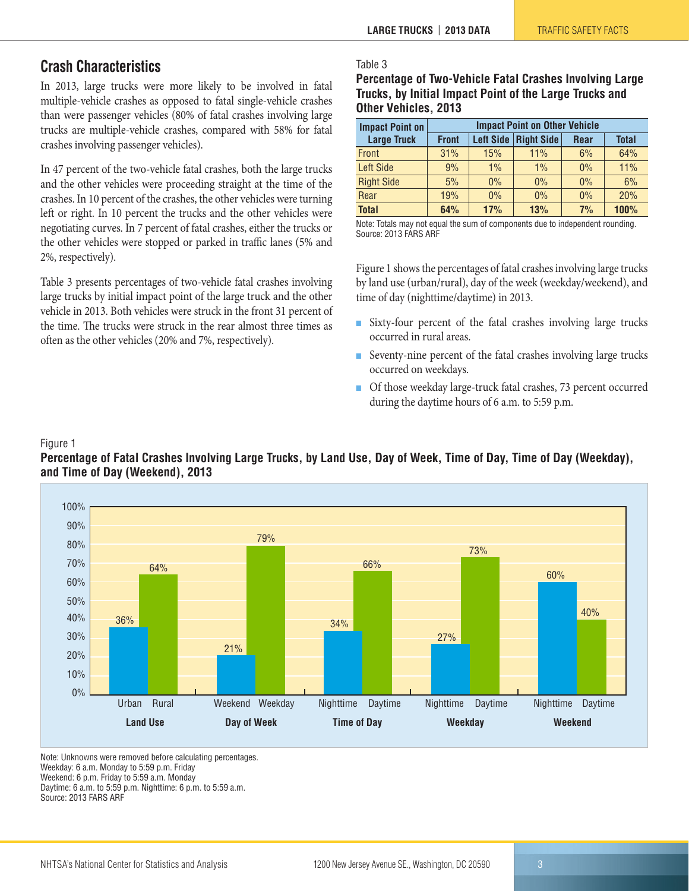### <span id="page-2-0"></span>**Crash Characteristics**

In 2013, large trucks were more likely to be involved in fatal multiple-vehicle crashes as opposed to fatal single-vehicle crashes than were passenger vehicles (80% of fatal crashes involving large trucks are multiple-vehicle crashes, compared with 58% for fatal crashes involving passenger vehicles).

In 47 percent of the two-vehicle fatal crashes, both the large trucks and the other vehicles were proceeding straight at the time of the crashes. In 10 percent of the crashes, the other vehicles were turning left or right. In 10 percent the trucks and the other vehicles were negotiating curves. In 7 percent of fatal crashes, either the trucks or the other vehicles were stopped or parked in traffic lanes (5% and 2%, respectively).

Table 3 presents percentages of two-vehicle fatal crashes involving large trucks by initial impact point of the large truck and the other vehicle in 2013. Both vehicles were struck in the front 31 percent of the time. The trucks were struck in the rear almost three times as often as the other vehicles (20% and 7%, respectively).

### Table 3

| Percentage of Two-Vehicle Fatal Crashes Involving Large |
|---------------------------------------------------------|
| Trucks, by Initial Impact Point of the Large Trucks and |
| Other Vehicles, 2013                                    |

| <b>Impact Point on</b> | <b>Impact Point on Other Vehicle</b>                                  |       |       |       |      |  |  |
|------------------------|-----------------------------------------------------------------------|-------|-------|-------|------|--|--|
| <b>Large Truck</b>     | Left Side   Right Side<br><b>Front</b><br><b>Total</b><br><b>Rear</b> |       |       |       |      |  |  |
| Front                  | 31%                                                                   | 15%   | 11%   | 6%    | 64%  |  |  |
| <b>Left Side</b>       | 9%                                                                    | $1\%$ | $1\%$ | $0\%$ | 11%  |  |  |
| <b>Right Side</b>      | 5%                                                                    | $0\%$ | $0\%$ | $0\%$ | 6%   |  |  |
| Rear                   | 19%                                                                   | $0\%$ | $0\%$ | $0\%$ | 20%  |  |  |
| <b>Total</b>           | 64%                                                                   | 17%   | 13%   | 7%    | 100% |  |  |

Note: Totals may not equal the sum of components due to independent rounding. Source: 2013 FARS ARF

Figure 1 shows the percentages of fatal crashes involving large trucks by land use (urban/rural), day of the week (weekday/weekend), and time of day (nighttime/daytime) in 2013.

- Sixty-four percent of the fatal crashes involving large trucks occurred in rural areas.
- Seventy-nine percent of the fatal crashes involving large trucks occurred on weekdays.
- Of those weekday large-truck fatal crashes, 73 percent occurred during the daytime hours of 6 a.m. to 5:59 p.m.

### Figure 1

**Percentage of Fatal Crashes Involving Large Trucks, by Land Use, Day of Week, Time of Day, Time of Day (Weekday), and Time of Day (Weekend), 2013**



Note: Unknowns were removed before calculating percentages. Weekday: 6 a.m. Monday to 5:59 p.m. Friday Weekend: 6 p.m. Friday to 5:59 a.m. Monday Daytime: 6 a.m. to 5:59 p.m. Nighttime: 6 p.m. to 5:59 a.m. Source: 2013 FARS ARF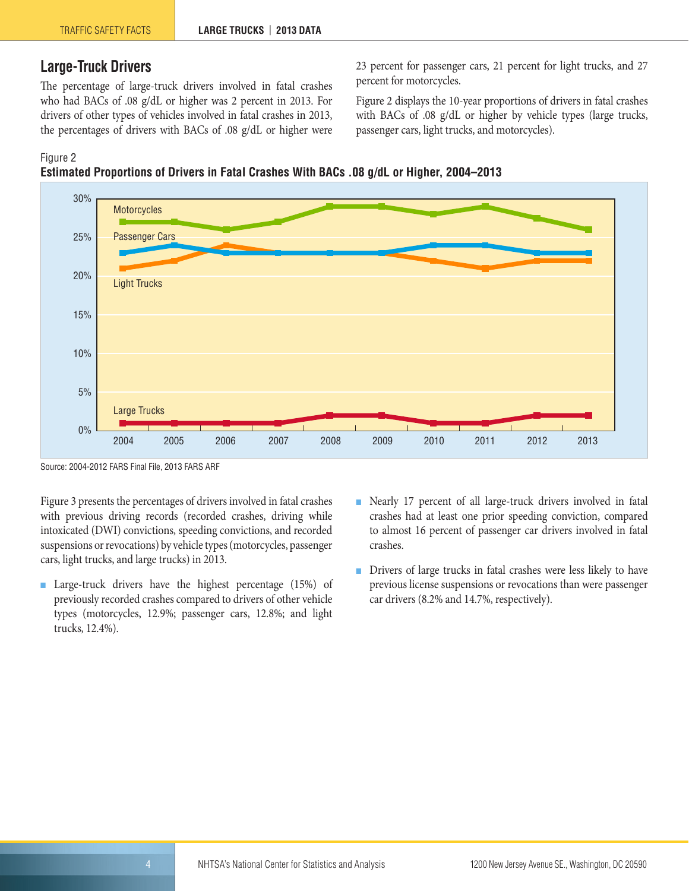### <span id="page-3-0"></span>**Large-Truck Drivers**

The percentage of large-truck drivers involved in fatal crashes who had BACs of .08 g/dL or higher was 2 percent in 2013. For drivers of other types of vehicles involved in fatal crashes in 2013, the percentages of drivers with BACs of .08 g/dL or higher were 23 percent for passenger cars, 21 percent for light trucks, and 27 percent for motorcycles.

Figure 2 displays the 10-year proportions of drivers in fatal crashes with BACs of .08 g/dL or higher by vehicle types (large trucks, passenger cars, light trucks, and motorcycles).





Source: 2004-2012 FARS Final File, 2013 FARS ARF

Figure 3 presents the percentages of drivers involved in fatal crashes with previous driving records (recorded crashes, driving while intoxicated (DWI) convictions, speeding convictions, and recorded suspensions or revocations) by vehicle types (motorcycles, passenger cars, light trucks, and large trucks) in 2013.

- Large-truck drivers have the highest percentage (15%) of previously recorded crashes compared to drivers of other vehicle types (motorcycles, 12.9%; passenger cars, 12.8%; and light trucks, 12.4%).
- Nearly 17 percent of all large-truck drivers involved in fatal crashes had at least one prior speeding conviction, compared to almost 16 percent of passenger car drivers involved in fatal crashes.
- Drivers of large trucks in fatal crashes were less likely to have previous license suspensions or revocations than were passenger car drivers (8.2% and 14.7%, respectively).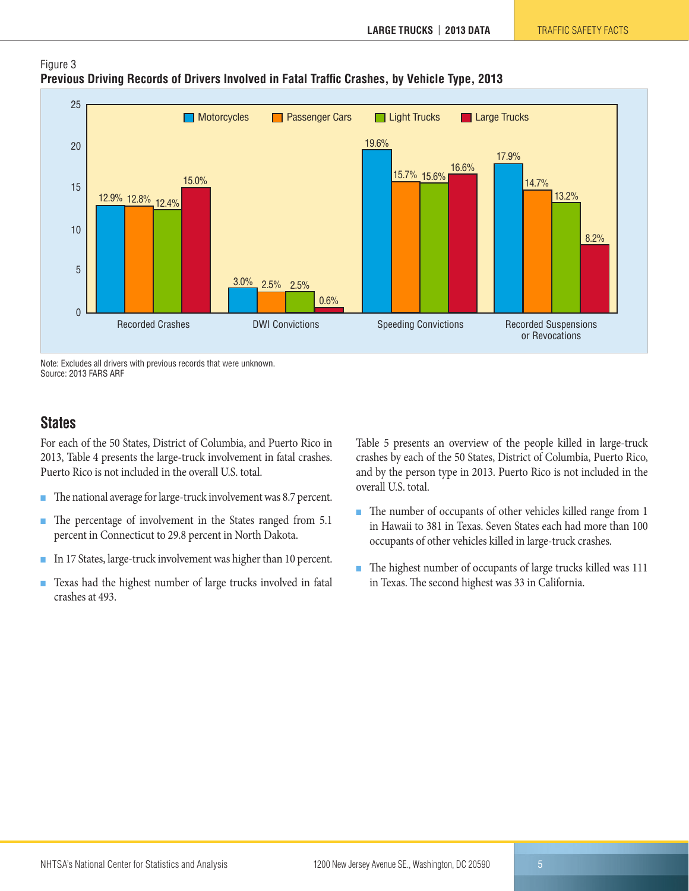

### Figure 3 **Previous Driving Records of Drivers Involved in Fatal Traffic Crashes, by Vehicle Type, 2013**

Note: Excludes all drivers with previous records that were unknown. Source: 2013 FARS ARF

### <span id="page-4-0"></span>**States**

For each of the 50 States, District of Columbia, and Puerto Rico in 2013, Table 4 presents the large-truck involvement in fatal crashes. Puerto Rico is not included in the overall U.S. total.

- The national average for large-truck involvement was 8.7 percent.
- The percentage of involvement in the States ranged from 5.1 percent in Connecticut to 29.8 percent in North Dakota.
- In 17 States, large-truck involvement was higher than 10 percent.
- Texas had the highest number of large trucks involved in fatal crashes at 493.

Table 5 presents an overview of the people killed in large-truck crashes by each of the 50 States, District of Columbia, Puerto Rico, and by the person type in 2013. Puerto Rico is not included in the overall U.S. total.

- The number of occupants of other vehicles killed range from 1 in Hawaii to 381 in Texas. Seven States each had more than 100 occupants of other vehicles killed in large-truck crashes.
- The highest number of occupants of large trucks killed was 111 in Texas. The second highest was 33 in California.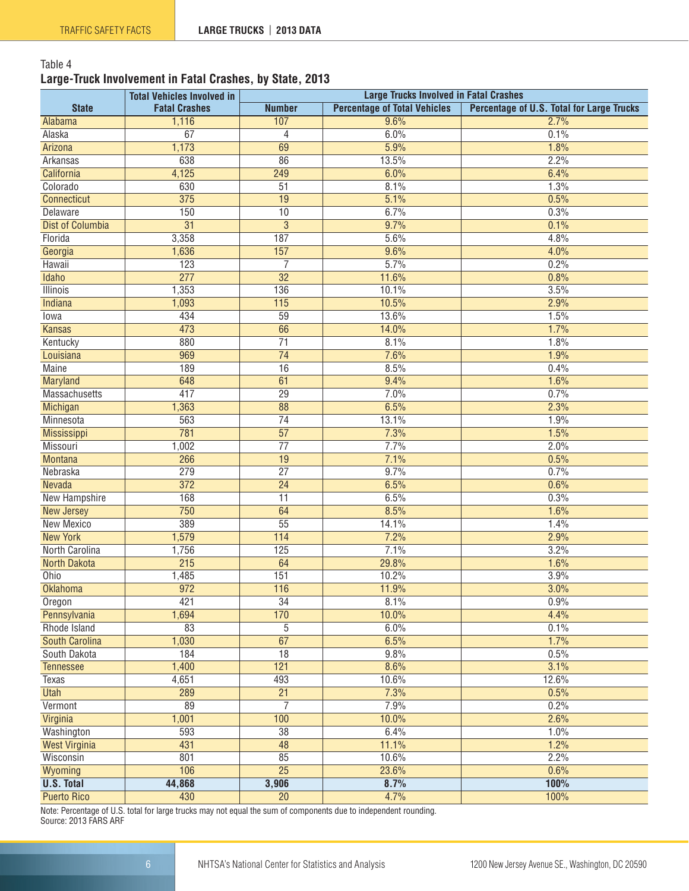### Table 4 **Large-Truck Involvement in Fatal Crashes, by State, 2013**

|                         | <b>Total Vehicles Involved in</b> | <b>Large Trucks Involved in Fatal Crashes</b> |                                     |                                           |  |
|-------------------------|-----------------------------------|-----------------------------------------------|-------------------------------------|-------------------------------------------|--|
| <b>State</b>            | <b>Fatal Crashes</b>              | <b>Number</b>                                 | <b>Percentage of Total Vehicles</b> | Percentage of U.S. Total for Large Trucks |  |
| Alabama                 | 1,116                             | 107                                           | 9.6%                                | 2.7%                                      |  |
| Alaska                  | 67                                | $\overline{4}$                                | 6.0%                                | 0.1%                                      |  |
| Arizona                 | 1,173                             | 69                                            | 5.9%                                | 1.8%                                      |  |
| Arkansas                | 638                               | 86                                            | 13.5%                               | 2.2%                                      |  |
| California              | 4,125                             | 249                                           | 6.0%                                | 6.4%                                      |  |
| Colorado                | 630                               | 51                                            | 8.1%                                | 1.3%                                      |  |
| Connecticut             | 375                               | 19                                            | 5.1%                                | 0.5%                                      |  |
| Delaware                | 150                               | $\overline{10}$                               | 6.7%                                | 0.3%                                      |  |
| <b>Dist of Columbia</b> | $\overline{31}$                   | $\overline{3}$                                | 9.7%                                | 0.1%                                      |  |
| Florida                 | 3,358                             | 187                                           | 5.6%                                | 4.8%                                      |  |
| Georgia                 | 1,636                             | 157                                           | 9.6%                                | 4.0%                                      |  |
| Hawaii                  | 123                               | $\overline{7}$                                | 5.7%                                | 0.2%                                      |  |
| Idaho                   | 277                               | $\overline{32}$                               | 11.6%                               | 0.8%                                      |  |
| <b>Illinois</b>         | 1,353                             | 136                                           | 10.1%                               | 3.5%                                      |  |
| Indiana                 | 1,093                             | 115                                           | 10.5%                               | 2.9%                                      |  |
| lowa                    | 434                               | 59                                            | 13.6%                               | 1.5%                                      |  |
| <b>Kansas</b>           | 473                               | 66                                            | 14.0%                               | 1.7%                                      |  |
| Kentucky                | 880                               | $\overline{71}$                               | 8.1%                                | 1.8%                                      |  |
| Louisiana               | 969                               | $\overline{74}$                               | 7.6%                                | 1.9%                                      |  |
| <b>Maine</b>            | 189                               | 16                                            | 8.5%                                | 0.4%                                      |  |
| <b>Maryland</b>         | 648                               | 61                                            | 9.4%                                | 1.6%                                      |  |
| <b>Massachusetts</b>    | 417                               | $\overline{29}$                               | 7.0%                                | 0.7%                                      |  |
| Michigan                | 1,363                             | $\overline{88}$                               | 6.5%                                | 2.3%                                      |  |
| Minnesota               | 563                               | $\overline{74}$                               | 13.1%                               | 1.9%                                      |  |
| <b>Mississippi</b>      | 781                               | 57                                            | 7.3%                                | 1.5%                                      |  |
| Missouri                | 1,002                             | $\overline{77}$                               | 7.7%                                | 2.0%                                      |  |
| <b>Montana</b>          | 266                               | 19                                            | 7.1%                                | 0.5%                                      |  |
| Nebraska                | 279                               | $\overline{27}$                               | 9.7%                                | 0.7%                                      |  |
| Nevada                  | 372                               | $\overline{24}$                               | 6.5%                                | 0.6%                                      |  |
| <b>New Hampshire</b>    | 168                               | $\overline{11}$                               | 6.5%                                | 0.3%                                      |  |
| New Jersey              | 750                               | 64                                            | 8.5%                                | 1.6%                                      |  |
| <b>New Mexico</b>       | 389                               | $\overline{55}$                               | 14.1%                               | 1.4%                                      |  |
| <b>New York</b>         | 1,579                             | 114                                           | 7.2%                                | 2.9%                                      |  |
| North Carolina          | 1,756                             | 125                                           | 7.1%                                | 3.2%                                      |  |
| <b>North Dakota</b>     | $\overline{215}$                  | 64                                            | 29.8%                               | 1.6%                                      |  |
| Ohio                    | 1,485                             | 151                                           | 10.2%                               | 3.9%                                      |  |
| <b>Oklahoma</b>         | $\overline{972}$                  | 116                                           | 11.9%                               | 3.0%                                      |  |
| Oregon                  | 421                               | 34                                            | 8.1%                                | 0.9%                                      |  |
| Pennsylvania            | 1,694                             | 170                                           | 10.0%                               | 4.4%                                      |  |
| Rhode Island            | 83                                | 5                                             | 6.0%                                | 0.1%                                      |  |
| <b>South Carolina</b>   | 1,030                             | 67                                            | 6.5%                                | 1.7%                                      |  |
| South Dakota            | 184                               | 18                                            | 9.8%                                | 0.5%                                      |  |
| <b>Tennessee</b>        | 1,400                             | 121                                           | 8.6%                                | 3.1%                                      |  |
| Texas                   | 4,651                             | 493                                           | 10.6%                               | 12.6%                                     |  |
| <b>Utah</b>             | 289                               | $\overline{21}$                               | 7.3%                                | 0.5%                                      |  |
| Vermont                 | 89                                | $\overline{7}$                                | 7.9%                                | 0.2%                                      |  |
|                         | 1,001                             | 100                                           | 10.0%                               | 2.6%                                      |  |
| Virginia                | 593                               | $\overline{38}$                               |                                     | 1.0%                                      |  |
| Washington              | 431                               | $\overline{48}$                               | 6.4%                                |                                           |  |
| <b>West Virginia</b>    |                                   | 85                                            | 11.1%                               | 1.2%                                      |  |
| Wisconsin               | 801<br>106                        | $\overline{25}$                               | 10.6%                               | 2.2%                                      |  |
| Wyoming                 |                                   |                                               | 23.6%                               | 0.6%                                      |  |
| <b>U.S. Total</b>       | 44,868                            | 3,906                                         | 8.7%                                | 100%                                      |  |
| <b>Puerto Rico</b>      | 430                               | $\overline{20}$                               | 4.7%                                | 100%                                      |  |

Note: Percentage of U.S. total for large trucks may not equal the sum of components due to independent rounding. Source: 2013 FARS ARF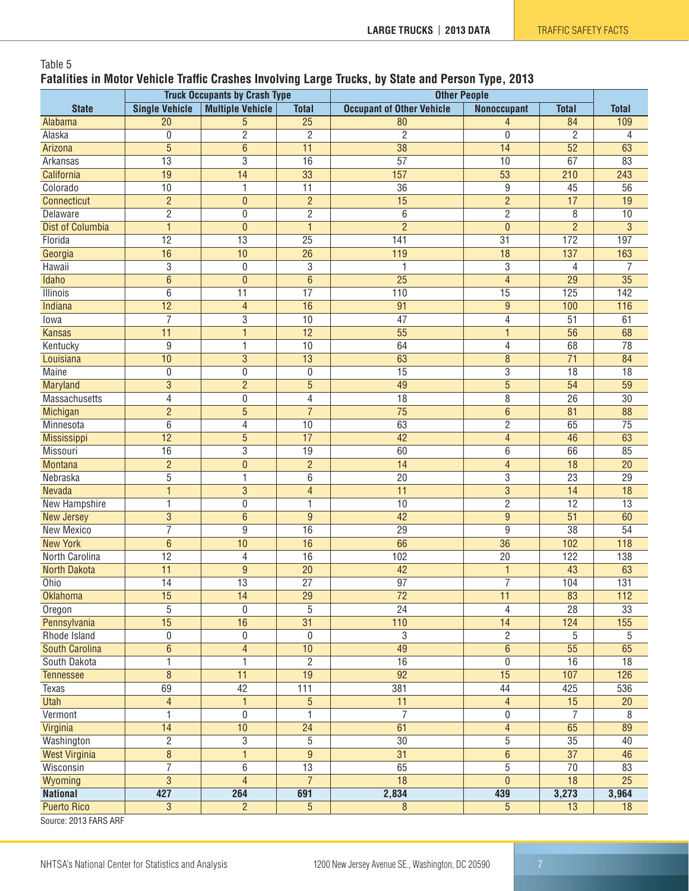### Table 5 **Fatalities in Motor Vehicle Traffic Crashes Involving Large Trucks, by State and Person Type, 2013**

|                                | <b>Truck Occupants by Crash Type</b> |                         | <b>Other People</b> |                                  |                    |                  |                 |
|--------------------------------|--------------------------------------|-------------------------|---------------------|----------------------------------|--------------------|------------------|-----------------|
| <b>State</b>                   | <b>Single Vehicle</b>                | <b>Multiple Vehicle</b> | <b>Total</b>        | <b>Occupant of Other Vehicle</b> | <b>Nonoccupant</b> | <b>Total</b>     | <b>Total</b>    |
| Alabama                        | 20                                   | $\overline{5}$          | $\overline{25}$     | 80                               | $\overline{4}$     | 84               | 109             |
| Alaska                         | $\mathbf 0$                          | $\overline{2}$          | $\overline{2}$      | $\overline{c}$                   | $\mathbf 0$        | $\overline{2}$   | 4               |
| Arizona                        | 5                                    | $\overline{6}$          | 11                  | 38                               | $\overline{14}$    | $\overline{52}$  | 63              |
| Arkansas                       | $\overline{13}$                      | $\overline{3}$          | 16                  | $\overline{57}$                  | 10                 | 67               | 83              |
| California                     | $\overline{19}$                      | $\overline{14}$         | $\overline{33}$     | 157                              | $\overline{53}$    | 210              | 243             |
| Colorado                       | 10                                   | $\mathbf{1}$            | 11                  | 36                               | 9                  | 45               | 56              |
| Connecticut                    | $\overline{2}$                       | $\mathbf{0}$            | $\overline{2}$      | 15                               | $\overline{2}$     | 17               | 19              |
| <b>Delaware</b>                | $\overline{2}$                       | $\boldsymbol{0}$        | $\overline{2}$      | $\overline{6}$                   | $\overline{2}$     | $\overline{8}$   | 10              |
| <b>Dist of Columbia</b>        | $\mathbf{1}$                         | $\pmb{0}$               | $\mathbf{1}$        | $\overline{2}$                   | $\mathbf{0}$       | $\overline{2}$   | $\mathbf{3}$    |
| Florida                        | $\overline{12}$                      | $\overline{13}$         | 25                  | 141                              | $\overline{31}$    | 172              | 197             |
| Georgia                        | 16                                   | 10                      | 26                  | 119                              | 18                 | $\overline{137}$ | 163             |
| Hawaii                         | 3                                    | 0                       | 3                   | 1                                | 3                  | 4                | 7               |
| <b>Idaho</b>                   | $\overline{6}$                       | $\overline{0}$          | $\overline{6}$      | $\overline{25}$                  | $\overline{4}$     | $\overline{29}$  | $\overline{35}$ |
| Illinois                       | 6                                    | 11                      | 17                  | 110                              | 15                 | 125              | 142             |
| Indiana                        | 12                                   | $\overline{4}$          | 16                  | 91                               | $\boldsymbol{9}$   | 100              | 116             |
| lowa                           | $\overline{7}$                       | $\overline{3}$          | 10                  | 47                               | 4                  | 51               | 61              |
| <b>Kansas</b>                  | 11                                   | $\mathbf{1}$            | $\overline{12}$     | $\overline{55}$                  | $\mathbf{1}$       | 56               | 68              |
| Kentucky                       | 9                                    | 1                       | 10                  | 64                               | 4                  | 68               | $\overline{78}$ |
| Louisiana                      | 10                                   | $\overline{3}$          | 13                  | 63                               | $\bf 8$            | $\overline{71}$  | 84              |
| <b>Maine</b>                   | 0                                    | $\boldsymbol{0}$        | 0                   | 15                               | $\overline{3}$     | 18               | $\overline{18}$ |
| Maryland                       | 3                                    | $\overline{2}$          | $\overline{5}$      | 49                               | $\overline{5}$     | $\overline{54}$  | $\overline{59}$ |
| <b>Massachusetts</b>           | 4                                    | $\boldsymbol{0}$        | 4                   | $\overline{18}$                  | $\overline{8}$     | $\overline{26}$  | $\overline{30}$ |
| Michigan                       | $\overline{2}$                       | $\overline{5}$          | $\overline{7}$      | $\overline{75}$                  | $\overline{6}$     | 81               | 88              |
| Minnesota                      | 6                                    | $\overline{4}$          | 10                  | 63                               | $\overline{2}$     | 65               | $\overline{75}$ |
| Mississippi                    | 12                                   | $\overline{5}$          | 17                  | 42                               | $\overline{4}$     | 46               | 63              |
| Missouri                       | 16                                   | $\overline{3}$          | $\overline{19}$     | 60                               | 6                  | 66               | 85              |
| <b>Montana</b>                 | $\overline{2}$                       | $\mathbf{0}$            | $\overline{2}$      | $\overline{14}$                  | $\overline{4}$     | $\overline{18}$  | 20              |
| Nebraska                       | 5                                    | 1                       | 6                   | 20                               | 3                  | $\overline{23}$  | 29              |
| <b>Nevada</b>                  | 1                                    | $\overline{3}$          | $\overline{4}$      | 11                               | $\overline{3}$     | 14               | 18              |
| <b>New Hampshire</b>           | 1                                    | $\boldsymbol{0}$        | 1                   | 10                               | $\overline{2}$     | $\overline{12}$  | $\overline{13}$ |
| <b>New Jersey</b>              | 3                                    | $6\phantom{1}$          | $\overline{9}$      | 42                               | $\overline{9}$     | $\overline{51}$  | 60              |
| New Mexico                     | $\overline{7}$                       | 9                       | 16                  | 29                               | 9                  | 38               | 54              |
| <b>New York</b>                | $6\phantom{1}6$                      | 10                      | 16                  | 66                               | 36                 | 102              | 118             |
| North Carolina                 | $\overline{12}$                      | 4                       | 16                  | 102                              | $\overline{20}$    | 122              | 138             |
| North Dakota                   | $\overline{11}$                      | $9\,$                   | $\overline{20}$     | 42                               | $\mathbf{1}$       | 43               | 63              |
| Ohio                           | 14                                   | 13                      | 27                  | 97                               | $\overline{7}$     | 104              | 131             |
| <b>Oklahoma</b>                | 15                                   | 14                      | 29                  | 72                               | 11                 | 83               | 112             |
| Oregon                         | 5                                    | $\mathbf{0}$            | $\overline{5}$      | $\overline{24}$                  | 4                  | $\overline{28}$  | 33              |
| Pennsylvania                   | $\overline{15}$                      | $\overline{16}$         | $\overline{31}$     | 110                              | $\overline{14}$    | 124              | 155             |
| Rhode Island                   | $\mathbf 0$                          | 0                       | $\pmb{0}$           | 3                                | $\mathbf{2}$       | 5                | 5               |
| <b>South Carolina</b>          | 6                                    | $\overline{4}$          | 10                  | 49                               | $\,6\,$            | 55               | 65              |
| South Dakota                   | 1                                    | $\mathbf{1}$            | $\overline{2}$      | 16                               | 0                  | 16               | 18              |
| <b>Tennessee</b>               | $\overline{8}$                       | 11                      | $\overline{19}$     | $\overline{92}$                  | $\overline{15}$    | 107              | 126             |
| Texas                          | 69                                   | $\overline{42}$         | 111                 | 381                              | 44                 | 425              | 536             |
| <b>Utah</b>                    | $\overline{4}$                       | $\mathbf{1}$            | $\overline{5}$      | 11                               | $\overline{4}$     | 15               | 20              |
| Vermont                        | 1                                    | 0                       | 1                   | $\overline{7}$                   | $\boldsymbol{0}$   | $\overline{7}$   | 8               |
| Virginia                       | 14                                   | 10                      | $\overline{24}$     | 61                               | $\overline{4}$     | 65               | 89              |
| Washington                     | $\overline{2}$                       | $\overline{3}$          | $\overline{5}$      | $\overline{30}$                  | $\overline{5}$     | $\overline{35}$  | 40              |
| <b>West Virginia</b>           | $\overline{8}$                       | $\mathbf{1}$            | $\overline{9}$      | $\overline{31}$                  | $6\,$              | $\overline{37}$  | 46              |
| Wisconsin                      | 7                                    | $\overline{6}$          | 13                  | 65                               | $\overline{5}$     | $\overline{70}$  | 83              |
| Wyoming                        | $\overline{3}$                       | $\overline{4}$          | $\overline{7}$      | $\overline{18}$                  | $\mathbf{0}$       | $\overline{18}$  | $\overline{25}$ |
| <b>National</b>                | 427                                  | 264                     | 691                 | 2,834                            | 439                | 3,273            | 3,964           |
| <b>Puerto Rico</b><br>0.500000 | 3                                    | $\overline{2}$          | $\overline{5}$      | 8                                | $5\phantom{.0}$    | 13               | 18              |

Source: 2013 FARS ARF